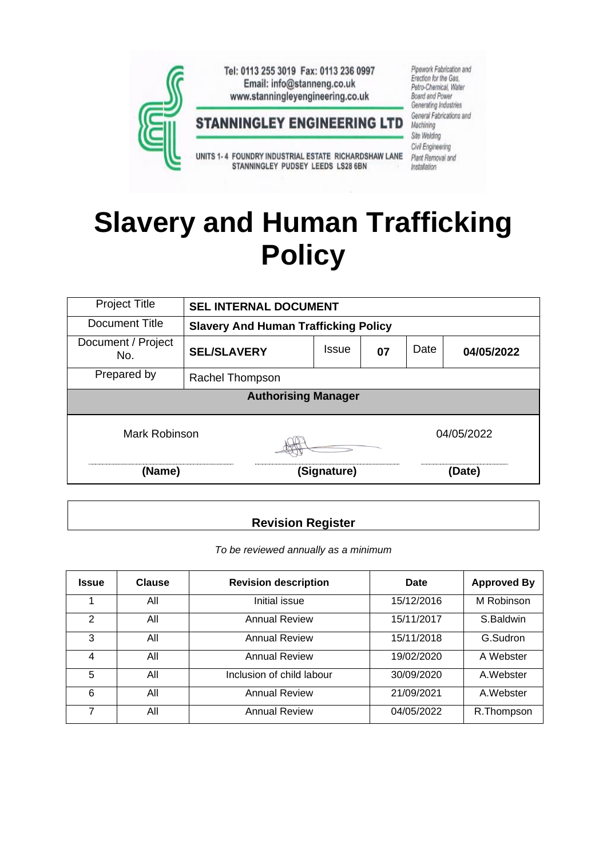

# **Slavery and Human Trafficking Policy**

| <b>Project Title</b>       | <b>SEL INTERNAL DOCUMENT</b>                |              |    |        |            |  |  |  |
|----------------------------|---------------------------------------------|--------------|----|--------|------------|--|--|--|
| Document Title             | <b>Slavery And Human Trafficking Policy</b> |              |    |        |            |  |  |  |
| Document / Project<br>No.  | <b>SEL/SLAVERY</b>                          | <b>Issue</b> | 07 | Date   | 04/05/2022 |  |  |  |
| Prepared by                | Rachel Thompson                             |              |    |        |            |  |  |  |
| <b>Authorising Manager</b> |                                             |              |    |        |            |  |  |  |
| Mark Robinson              |                                             | 04/05/2022   |    |        |            |  |  |  |
| (Name)                     |                                             | (Signature)  |    | (Date) |            |  |  |  |

# **Revision Register**

*To be reviewed annually as a minimum*

| <b>Issue</b> | <b>Clause</b> | <b>Revision description</b> | Date       | <b>Approved By</b> |
|--------------|---------------|-----------------------------|------------|--------------------|
|              | All           | Initial issue               | 15/12/2016 | M Robinson         |
| 2            | All           | <b>Annual Review</b>        | 15/11/2017 | S.Baldwin          |
| 3            | All           | <b>Annual Review</b>        | 15/11/2018 | G.Sudron           |
| 4            | All           | <b>Annual Review</b>        | 19/02/2020 | A Webster          |
| 5            | All           | Inclusion of child labour   | 30/09/2020 | A. Webster         |
| 6            | All           | <b>Annual Review</b>        | 21/09/2021 | A. Webster         |
| 7            | All           | <b>Annual Review</b>        | 04/05/2022 | R.Thompson         |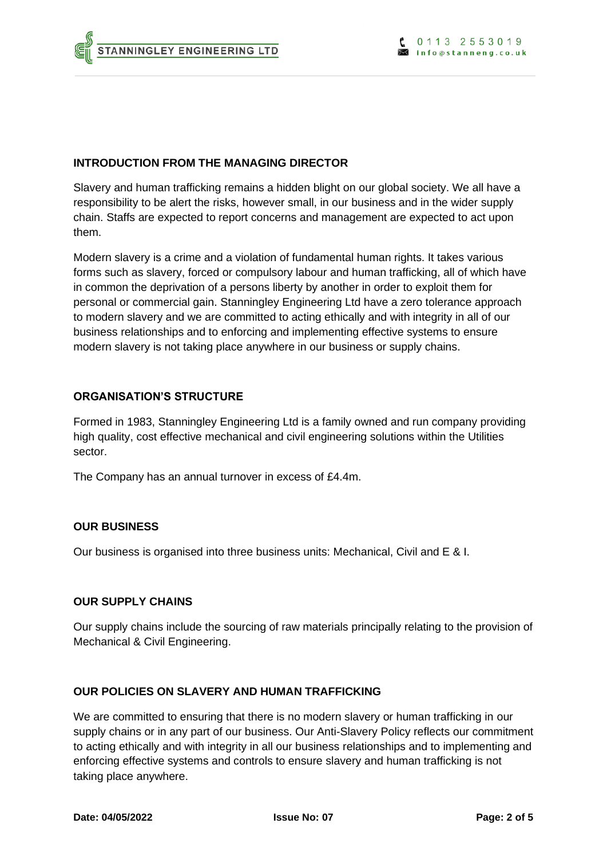## **INTRODUCTION FROM THE MANAGING DIRECTOR**

Slavery and human trafficking remains a hidden blight on our global society. We all have a responsibility to be alert the risks, however small, in our business and in the wider supply chain. Staffs are expected to report concerns and management are expected to act upon them.

Modern slavery is a crime and a violation of fundamental human rights. It takes various forms such as slavery, forced or compulsory labour and human trafficking, all of which have in common the deprivation of a persons liberty by another in order to exploit them for personal or commercial gain. Stanningley Engineering Ltd have a zero tolerance approach to modern slavery and we are committed to acting ethically and with integrity in all of our business relationships and to enforcing and implementing effective systems to ensure modern slavery is not taking place anywhere in our business or supply chains.

## **ORGANISATION'S STRUCTURE**

Formed in 1983, Stanningley Engineering Ltd is a family owned and run company providing high quality, cost effective mechanical and civil engineering solutions within the Utilities sector.

The Company has an annual turnover in excess of £4.4m.

## **OUR BUSINESS**

Our business is organised into three business units: Mechanical, Civil and E & I.

## **OUR SUPPLY CHAINS**

Our supply chains include the sourcing of raw materials principally relating to the provision of Mechanical & Civil Engineering.

## **OUR POLICIES ON SLAVERY AND HUMAN TRAFFICKING**

We are committed to ensuring that there is no modern slavery or human trafficking in our supply chains or in any part of our business. Our Anti-Slavery Policy reflects our commitment to acting ethically and with integrity in all our business relationships and to implementing and enforcing effective systems and controls to ensure slavery and human trafficking is not taking place anywhere.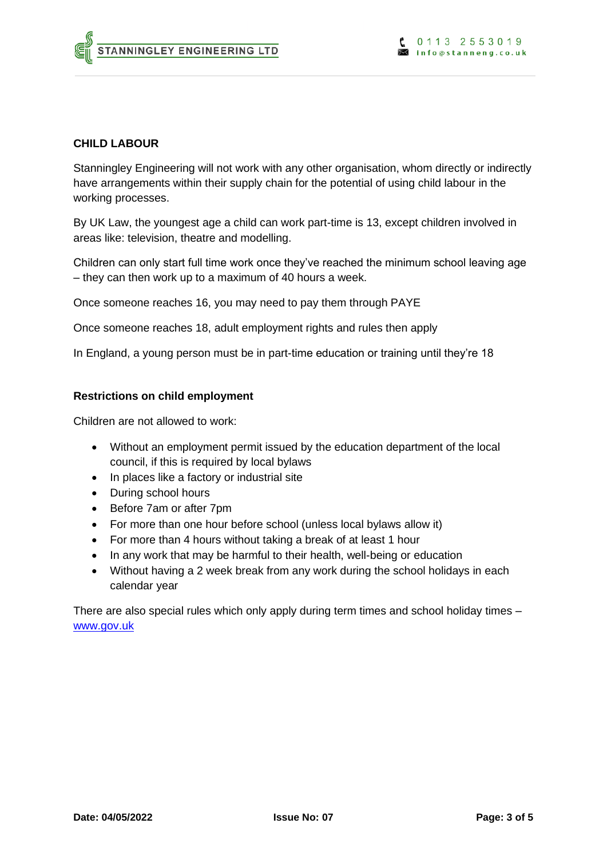#### **CHILD LABOUR**

Stanningley Engineering will not work with any other organisation, whom directly or indirectly have arrangements within their supply chain for the potential of using child labour in the working processes.

By UK Law, the youngest age a child can work part-time is 13, except children involved in areas like: television, theatre and modelling.

Children can only start full time work once they've reached the minimum school leaving age – they can then work up to a maximum of 40 hours a week.

Once someone reaches 16, you may need to pay them through PAYE

Once someone reaches 18, adult employment rights and rules then apply

In England, a young person must be in part-time education or training until they're 18

#### **Restrictions on child employment**

Children are not allowed to work:

- Without an employment permit issued by the education department of the local council, if this is required by local bylaws
- In places like a factory or industrial site
- During school hours
- Before 7am or after 7pm
- For more than one hour before school (unless local bylaws allow it)
- For more than 4 hours without taking a break of at least 1 hour
- In any work that may be harmful to their health, well-being or education
- Without having a 2 week break from any work during the school holidays in each calendar year

There are also special rules which only apply during term times and school holiday times – [www.gov.uk](http://www.gov.uk/)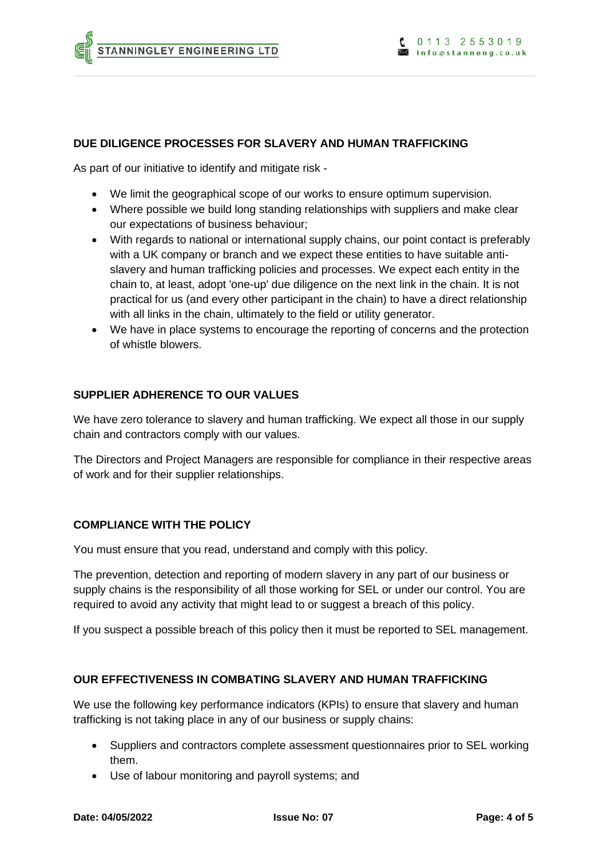#### **DUE DILIGENCE PROCESSES FOR SLAVERY AND HUMAN TRAFFICKING**

As part of our initiative to identify and mitigate risk -

- We limit the geographical scope of our works to ensure optimum supervision.
- Where possible we build long standing relationships with suppliers and make clear our expectations of business behaviour;
- With regards to national or international supply chains, our point contact is preferably with a UK company or branch and we expect these entities to have suitable antislavery and human trafficking policies and processes. We expect each entity in the chain to, at least, adopt 'one-up' due diligence on the next link in the chain. It is not practical for us (and every other participant in the chain) to have a direct relationship with all links in the chain, ultimately to the field or utility generator.
- We have in place systems to encourage the reporting of concerns and the protection of whistle blowers.

#### **SUPPLIER ADHERENCE TO OUR VALUES**

We have zero tolerance to slavery and human trafficking. We expect all those in our supply chain and contractors comply with our values.

The Directors and Project Managers are responsible for compliance in their respective areas of work and for their supplier relationships.

## **COMPLIANCE WITH THE POLICY**

You must ensure that you read, understand and comply with this policy.

The prevention, detection and reporting of modern slavery in any part of our business or supply chains is the responsibility of all those working for SEL or under our control. You are required to avoid any activity that might lead to or suggest a breach of this policy.

If you suspect a possible breach of this policy then it must be reported to SEL management.

#### **OUR EFFECTIVENESS IN COMBATING SLAVERY AND HUMAN TRAFFICKING**

We use the following key performance indicators (KPIs) to ensure that slavery and human trafficking is not taking place in any of our business or supply chains:

- Suppliers and contractors complete assessment questionnaires prior to SEL working them.
- Use of labour monitoring and payroll systems; and